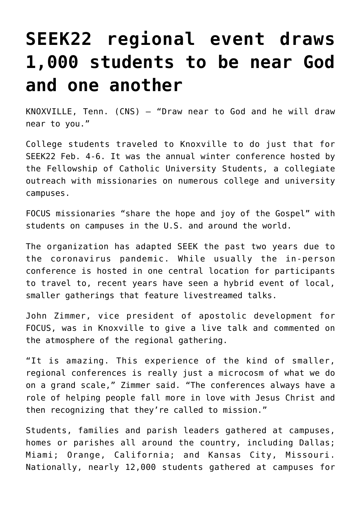## **[SEEK22 regional event draws](https://www.osvnews.com/2022/02/09/seek22-regional-event-draws-1000-students-to-be-near-god-and-one-another/) [1,000 students to be near God](https://www.osvnews.com/2022/02/09/seek22-regional-event-draws-1000-students-to-be-near-god-and-one-another/) [and one another](https://www.osvnews.com/2022/02/09/seek22-regional-event-draws-1000-students-to-be-near-god-and-one-another/)**

KNOXVILLE, Tenn. (CNS) — "Draw near to God and he will draw near to you."

College students traveled to Knoxville to do just that for SEEK22 Feb. 4-6. It was the annual winter conference hosted by the Fellowship of Catholic University Students, a collegiate outreach with missionaries on numerous college and university campuses.

FOCUS missionaries "share the hope and joy of the Gospel" with students on campuses in the U.S. and around the world.

The organization has adapted SEEK the past two years due to the coronavirus pandemic. While usually the in-person conference is hosted in one central location for participants to travel to, recent years have seen a hybrid event of local, smaller gatherings that feature livestreamed talks.

John Zimmer, vice president of apostolic development for FOCUS, was in Knoxville to give a live talk and commented on the atmosphere of the regional gathering.

"It is amazing. This experience of the kind of smaller, regional conferences is really just a microcosm of what we do on a grand scale," Zimmer said. "The conferences always have a role of helping people fall more in love with Jesus Christ and then recognizing that they're called to mission."

Students, families and parish leaders gathered at campuses, homes or parishes all around the country, including Dallas; Miami; Orange, California; and Kansas City, Missouri. Nationally, nearly 12,000 students gathered at campuses for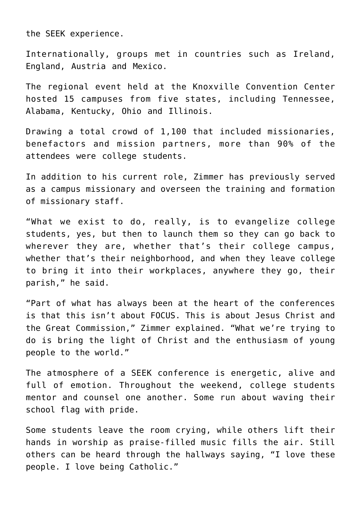the SEEK experience.

Internationally, groups met in countries such as Ireland, England, Austria and Mexico.

The regional event held at the Knoxville Convention Center hosted 15 campuses from five states, including Tennessee, Alabama, Kentucky, Ohio and Illinois.

Drawing a total crowd of 1,100 that included missionaries, benefactors and mission partners, more than 90% of the attendees were college students.

In addition to his current role, Zimmer has previously served as a campus missionary and overseen the training and formation of missionary staff.

"What we exist to do, really, is to evangelize college students, yes, but then to launch them so they can go back to wherever they are, whether that's their college campus, whether that's their neighborhood, and when they leave college to bring it into their workplaces, anywhere they go, their parish," he said.

"Part of what has always been at the heart of the conferences is that this isn't about FOCUS. This is about Jesus Christ and the Great Commission," Zimmer explained. "What we're trying to do is bring the light of Christ and the enthusiasm of young people to the world."

The atmosphere of a SEEK conference is energetic, alive and full of emotion. Throughout the weekend, college students mentor and counsel one another. Some run about waving their school flag with pride.

Some students leave the room crying, while others lift their hands in worship as praise-filled music fills the air. Still others can be heard through the hallways saying, "I love these people. I love being Catholic."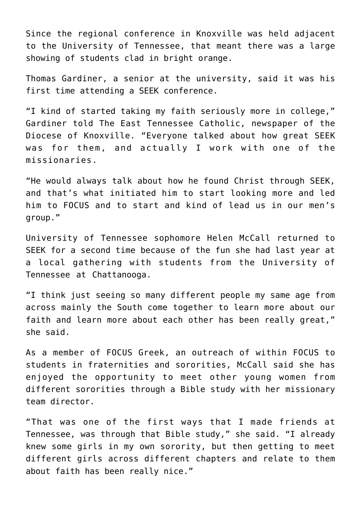Since the regional conference in Knoxville was held adjacent to the University of Tennessee, that meant there was a large showing of students clad in bright orange.

Thomas Gardiner, a senior at the university, said it was his first time attending a SEEK conference.

"I kind of started taking my faith seriously more in college," Gardiner told The East Tennessee Catholic, newspaper of the Diocese of Knoxville. "Everyone talked about how great SEEK was for them, and actually I work with one of the missionaries.

"He would always talk about how he found Christ through SEEK, and that's what initiated him to start looking more and led him to FOCUS and to start and kind of lead us in our men's group."

University of Tennessee sophomore Helen McCall returned to SEEK for a second time because of the fun she had last year at a local gathering with students from the University of Tennessee at Chattanooga.

"I think just seeing so many different people my same age from across mainly the South come together to learn more about our faith and learn more about each other has been really great," she said.

As a member of FOCUS Greek, an outreach of within FOCUS to students in fraternities and sororities, McCall said she has enjoyed the opportunity to meet other young women from different sororities through a Bible study with her missionary team director.

"That was one of the first ways that I made friends at Tennessee, was through that Bible study," she said. "I already knew some girls in my own sorority, but then getting to meet different girls across different chapters and relate to them about faith has been really nice."